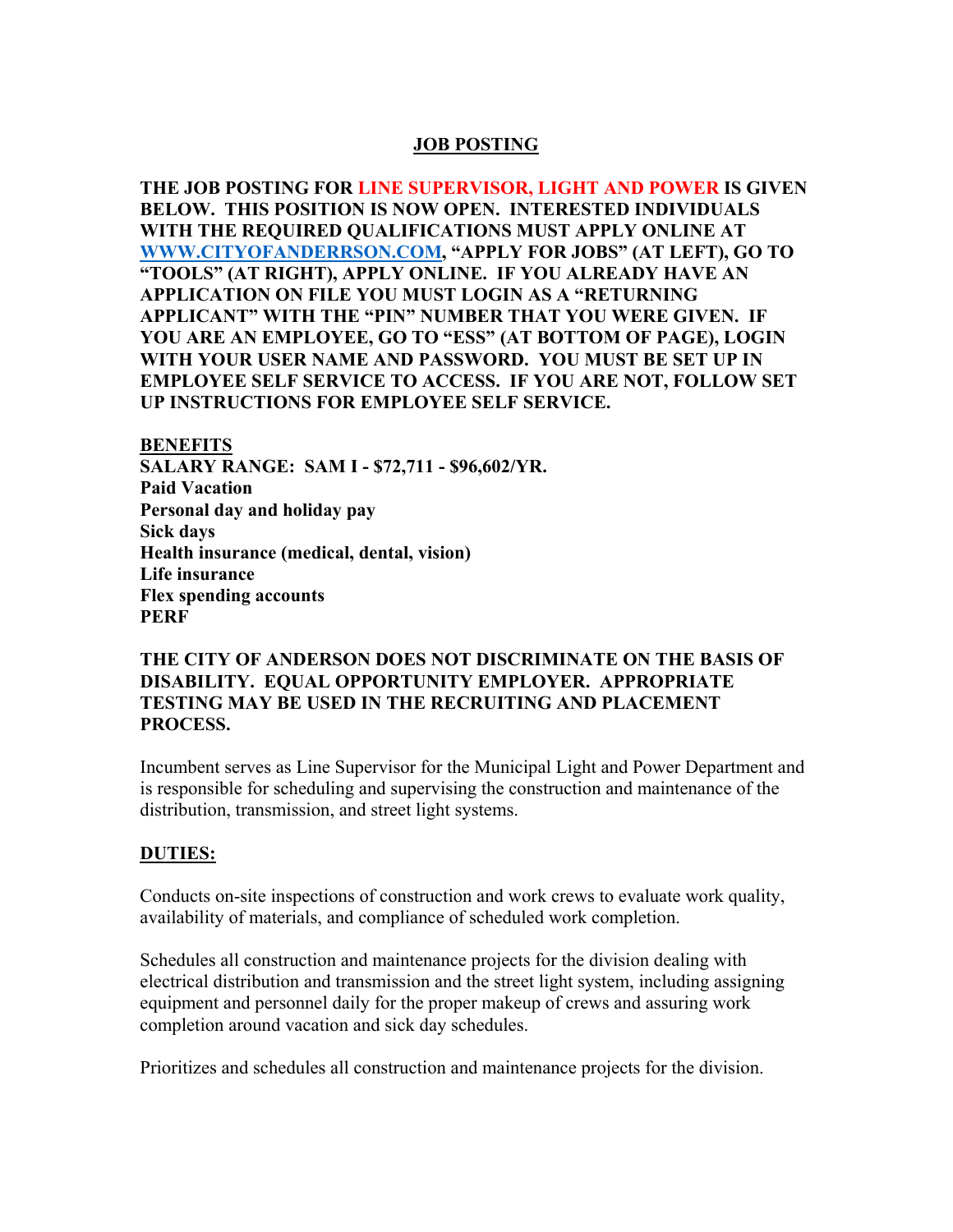### **JOB POSTING**

**THE JOB POSTING FOR LINE SUPERVISOR, LIGHT AND POWER IS GIVEN BELOW. THIS POSITION IS NOW OPEN. INTERESTED INDIVIDUALS WITH THE REQUIRED QUALIFICATIONS MUST APPLY ONLINE AT WWW.CITYOFANDERRSON.COM, "APPLY FOR JOBS" (AT LEFT), GO TO "TOOLS" (AT RIGHT), APPLY ONLINE. IF YOU ALREADY HAVE AN APPLICATION ON FILE YOU MUST LOGIN AS A "RETURNING APPLICANT" WITH THE "PIN" NUMBER THAT YOU WERE GIVEN. IF YOU ARE AN EMPLOYEE, GO TO "ESS" (AT BOTTOM OF PAGE), LOGIN WITH YOUR USER NAME AND PASSWORD. YOU MUST BE SET UP IN EMPLOYEE SELF SERVICE TO ACCESS. IF YOU ARE NOT, FOLLOW SET UP INSTRUCTIONS FOR EMPLOYEE SELF SERVICE.** 

**BENEFITS SALARY RANGE: SAM I - \$72,711 - \$96,602/YR. Paid Vacation Personal day and holiday pay Sick days Health insurance (medical, dental, vision) Life insurance Flex spending accounts PERF** 

### **THE CITY OF ANDERSON DOES NOT DISCRIMINATE ON THE BASIS OF DISABILITY. EQUAL OPPORTUNITY EMPLOYER. APPROPRIATE TESTING MAY BE USED IN THE RECRUITING AND PLACEMENT PROCESS.**

Incumbent serves as Line Supervisor for the Municipal Light and Power Department and is responsible for scheduling and supervising the construction and maintenance of the distribution, transmission, and street light systems.

## **DUTIES:**

Conducts on-site inspections of construction and work crews to evaluate work quality, availability of materials, and compliance of scheduled work completion.

Schedules all construction and maintenance projects for the division dealing with electrical distribution and transmission and the street light system, including assigning equipment and personnel daily for the proper makeup of crews and assuring work completion around vacation and sick day schedules.

Prioritizes and schedules all construction and maintenance projects for the division.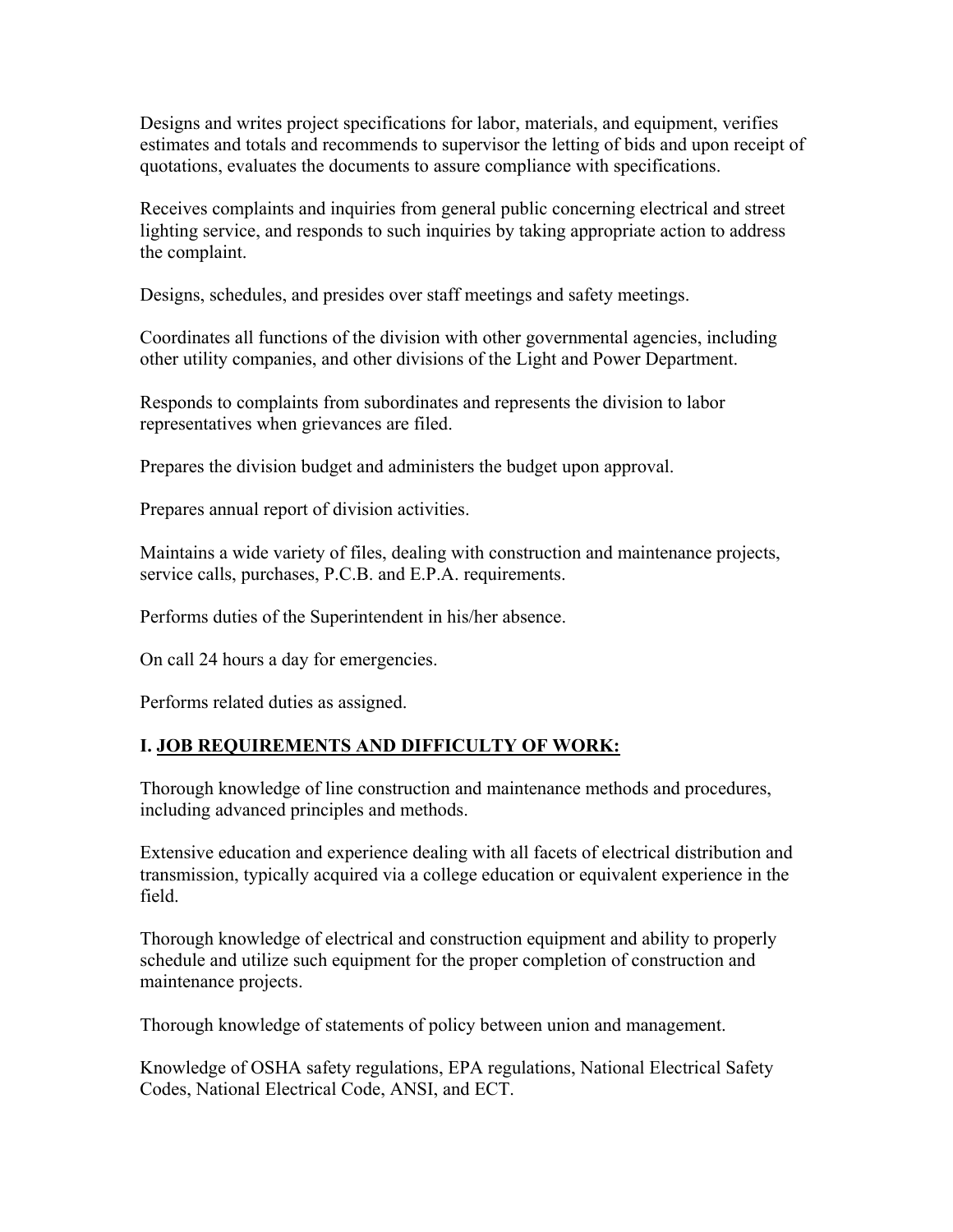Designs and writes project specifications for labor, materials, and equipment, verifies estimates and totals and recommends to supervisor the letting of bids and upon receipt of quotations, evaluates the documents to assure compliance with specifications.

Receives complaints and inquiries from general public concerning electrical and street lighting service, and responds to such inquiries by taking appropriate action to address the complaint.

Designs, schedules, and presides over staff meetings and safety meetings.

Coordinates all functions of the division with other governmental agencies, including other utility companies, and other divisions of the Light and Power Department.

Responds to complaints from subordinates and represents the division to labor representatives when grievances are filed.

Prepares the division budget and administers the budget upon approval.

Prepares annual report of division activities.

Maintains a wide variety of files, dealing with construction and maintenance projects, service calls, purchases, P.C.B. and E.P.A. requirements.

Performs duties of the Superintendent in his/her absence.

On call 24 hours a day for emergencies.

Performs related duties as assigned.

## **I. JOB REQUIREMENTS AND DIFFICULTY OF WORK:**

Thorough knowledge of line construction and maintenance methods and procedures, including advanced principles and methods.

Extensive education and experience dealing with all facets of electrical distribution and transmission, typically acquired via a college education or equivalent experience in the field.

Thorough knowledge of electrical and construction equipment and ability to properly schedule and utilize such equipment for the proper completion of construction and maintenance projects.

Thorough knowledge of statements of policy between union and management.

Knowledge of OSHA safety regulations, EPA regulations, National Electrical Safety Codes, National Electrical Code, ANSI, and ECT.